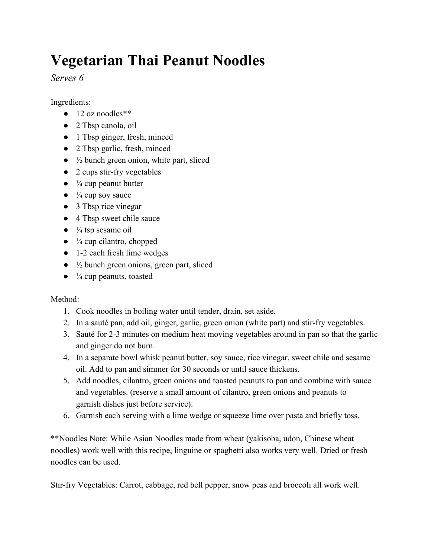# **Vegetarian Thai Peanut Noodles**

*Serves 6*

Ingredients:

- 12 oz noodles\*\*
- 2 Tbsp canola, oil
- 1 Tbsp ginger, fresh, minced
- 2 Tbsp garlic, fresh, minced
- $\bullet$   $\frac{1}{2}$  bunch green onion, white part, sliced
- 2 cups stir-fry vegetables
- $\bullet$   $\frac{1}{4}$  cup peanut butter
- $\bullet$   $\frac{1}{4}$  cup soy sauce
- 3 Tbsp rice vinegar
- 4 Tbsp sweet chile sauce
- $\bullet$   $\frac{1}{4}$  tsp sesame oil
- $\bullet$   $\frac{1}{4}$  cup cilantro, chopped
- 1-2 each fresh lime wedges
- $\bullet$   $\frac{1}{2}$  bunch green onions, green part, sliced
- $\bullet$   $\frac{1}{4}$  cup peanuts, toasted

#### Method<sup>-</sup>

- 1. Cook noodles in boiling water until tender, drain, set aside.
- 2. In a sauté pan, add oil, ginger, garlic, green onion (white part) and stir-fry vegetables.
- 3. Sauté for 2-3 minutes on medium heat moving vegetables around in pan so that the garlic and ginger do not burn.
- 4. In a separate bowl whisk peanut butter, soy sauce, rice vinegar, sweet chile and sesame oil. Add to pan and simmer for 30 seconds or until sauce thickens.
- 5. Add noodles, cilantro, green onions and toasted peanuts to pan and combine with sauce and vegetables. (reserve a small amount of cilantro, green onions and peanuts to garnish dishes just before service).
- 6. Garnish each serving with a lime wedge or squeeze lime over pasta and briefly toss.

\*\*Noodles Note: While Asian Noodles made from wheat (yakisoba, udon, Chinese wheat noodles) work well with this recipe, linguine or spaghetti also works very well. Dried or fresh noodles can be used.

Stir-fry Vegetables: Carrot, cabbage, red bell pepper, snow peas and broccoli all work well.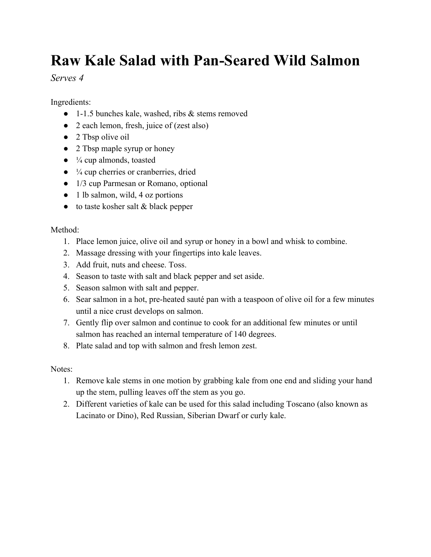### **Raw Kale Salad with Pan-Seared Wild Salmon**

*Serves 4*

Ingredients:

- 1-1.5 bunches kale, washed, ribs & stems removed
- 2 each lemon, fresh, juice of (zest also)
- 2 Tbsp olive oil
- 2 Tbsp maple syrup or honey
- $\bullet$   $\frac{1}{4}$  cup almonds, toasted
- $\bullet$   $\frac{1}{4}$  cup cherries or cranberries, dried
- 1/3 cup Parmesan or Romano, optional
- $\bullet$  1 lb salmon, wild, 4 oz portions
- to taste kosher salt & black pepper

Method<sup>-</sup>

- 1. Place lemon juice, olive oil and syrup or honey in a bowl and whisk to combine.
- 2. Massage dressing with your fingertips into kale leaves.
- 3. Add fruit, nuts and cheese. Toss.
- 4. Season to taste with salt and black pepper and set aside.
- 5. Season salmon with salt and pepper.
- 6. Sear salmon in a hot, pre-heated sauté pan with a teaspoon of olive oil for a few minutes until a nice crust develops on salmon.
- 7. Gently flip over salmon and continue to cook for an additional few minutes or until salmon has reached an internal temperature of 140 degrees.
- 8. Plate salad and top with salmon and fresh lemon zest.

Notes:

- 1. Remove kale stems in one motion by grabbing kale from one end and sliding your hand up the stem, pulling leaves off the stem as you go.
- 2. Different varieties of kale can be used for this salad including Toscano (also known as Lacinato or Dino), Red Russian, Siberian Dwarf or curly kale.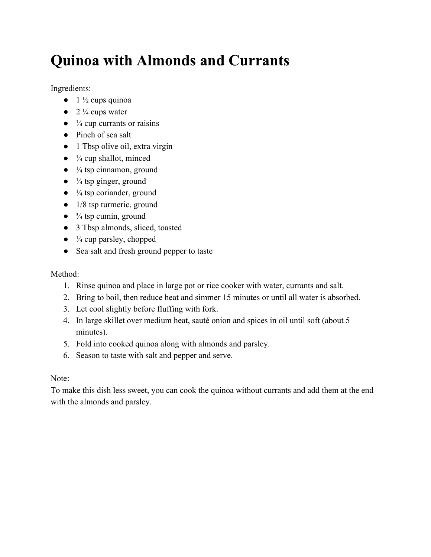# **Quinoa with Almonds and Currants**

Ingredients:

- $\bullet$  1  $\frac{1}{2}$  cups quinoa
- $\bullet$  2  $\frac{1}{4}$  cups water
- $\bullet$   $\frac{1}{4}$  cup currants or raisins
- Pinch of sea salt
- 1 Tbsp olive oil, extra virgin
- $\bullet$   $\frac{1}{4}$  cup shallot, minced
- $\bullet$   $\frac{1}{4}$  tsp cinnamon, ground
- $\bullet$   $\frac{1}{4}$  tsp ginger, ground
- $\bullet$   $\frac{1}{4}$  tsp coriander, ground
- $\bullet$  1/8 tsp turmeric, ground
- $\bullet$   $\frac{3}{4}$  tsp cumin, ground
- 3 Tbsp almonds, sliced, toasted
- $\bullet$   $\frac{1}{4}$  cup parsley, chopped
- Sea salt and fresh ground pepper to taste

#### Method:

- 1. Rinse quinoa and place in large pot or rice cooker with water, currants and salt.
- 2. Bring to boil, then reduce heat and simmer 15 minutes or until all water is absorbed.
- 3. Let cool slightly before fluffing with fork.
- 4. In large skillet over medium heat, sauté onion and spices in oil until soft (about 5 minutes).
- 5. Fold into cooked quinoa along with almonds and parsley.
- 6. Season to taste with salt and pepper and serve.

#### Note:

To make this dish less sweet, you can cook the quinoa without currants and add them at the end with the almonds and parsley.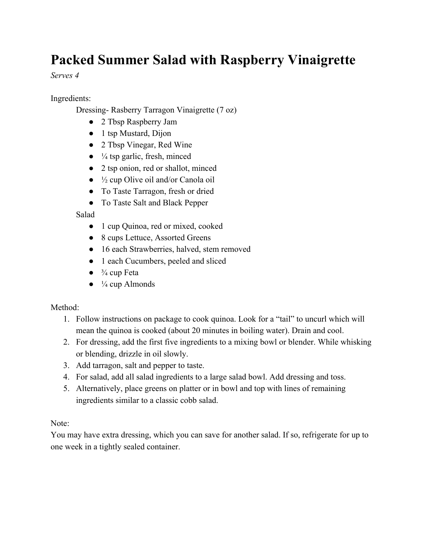### **Packed Summer Salad with Raspberry Vinaigrette**

*Serves 4*

Ingredients:

Dressing- Rasberry Tarragon Vinaigrette (7 oz)

- 2 Tbsp Raspberry Jam
- 1 tsp Mustard, Dijon
- 2 Tbsp Vinegar, Red Wine
- $\bullet$  <sup>1</sup>/<sub>4</sub> tsp garlic, fresh, minced
- 2 tsp onion, red or shallot, minced
- $\bullet$   $\frac{1}{2}$  cup Olive oil and/or Canola oil
- To Taste Tarragon, fresh or dried
- To Taste Salt and Black Pepper

Salad

- 1 cup Quinoa, red or mixed, cooked
- 8 cups Lettuce, Assorted Greens
- 16 each Strawberries, halved, stem removed
- 1 each Cucumbers, peeled and sliced
- $\bullet$   $\frac{3}{4}$  cup Feta
- $\bullet$   $\frac{1}{4}$  cup Almonds

#### Method:

- 1. Follow instructions on package to cook quinoa. Look for a "tail" to uncurl which will mean the quinoa is cooked (about 20 minutes in boiling water). Drain and cool.
- 2. For dressing, add the first five ingredients to a mixing bowl or blender. While whisking or blending, drizzle in oil slowly.
- 3. Add tarragon, salt and pepper to taste.
- 4. For salad, add all salad ingredients to a large salad bowl. Add dressing and toss.
- 5. Alternatively, place greens on platter or in bowl and top with lines of remaining ingredients similar to a classic cobb salad.

#### Note:

You may have extra dressing, which you can save for another salad. If so, refrigerate for up to one week in a tightly sealed container.